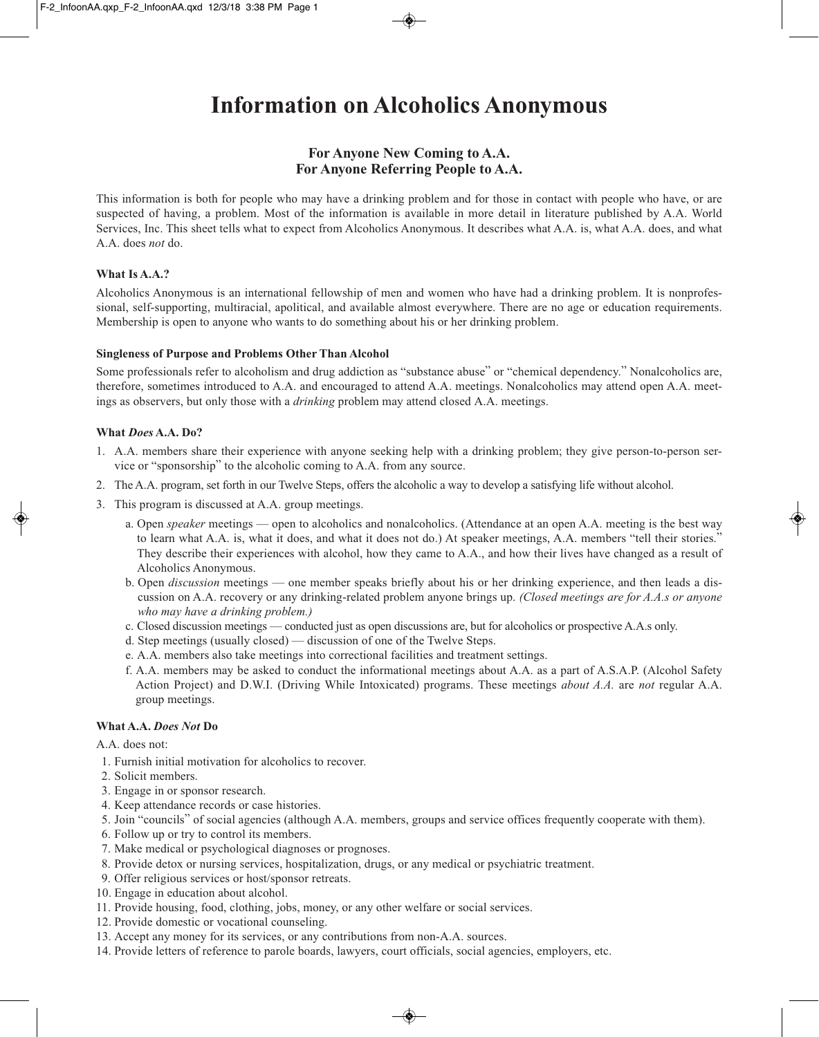# **Information on Alcoholics Anonymous**

# **For Anyone New Coming to A.A. For Anyone Referring People to A.A.**

This information is both for people who may have a drinking problem and for those in contact with people who have, or are suspected of having, a problem. Most of the information is available in more detail in literature published by A.A. World Services, Inc. This sheet tells what to expect from Alcoholics Anonymous. It describes what A.A. is, what A.A. does, and what A.A. does *not* do.

## **What Is A.A.?**

Alcoholics Anonymous is an international fellowship of men and women who have had a drinking problem. It is nonprofessional, self-supporting, multiracial, apolitical, and available almost everywhere. There are no age or education requirements. Membership is open to anyone who wants to do something about his or her drinking problem.

### **Singleness of Purpose and Problems Other Than Alcohol**

Some professionals refer to alcoholism and drug addiction as "substance abuse" or "chemical dependency." Nonalcoholics are, therefore, sometimes introduced to A.A. and encouraged to attend A.A. meetings. Nonalcoholics may attend open A.A. meetings as observers, but only those with a *drinking* problem may attend closed A.A. meetings.

### **What** *Does* **A.A. Do?**

- 1. A.A. members share their experience with anyone seeking help with a drinking problem; they give person-to-person service or "sponsorship" to the alcoholic coming to A.A. from any source.
- 2. The A.A. program, set forth in our Twelve Steps, offers the alcoholic a way to develop a satisfying life without alcohol.
- 3. This program is discussed at A.A. group meetings.
	- a. Open *speaker* meetings open to alcoholics and nonalcoholics. (Attendance at an open A.A. meeting is the best way to learn what A.A. is, what it does, and what it does not do.) At speaker meetings, A.A. members "tell their stories." They describe their experiences with alcohol, how they came to A.A., and how their lives have changed as a result of Alcoholics Anonymous.
	- b. Open *discussion* meetings one member speaks briefly about his or her drinking experience, and then leads a discussion on A.A. recovery or any drinking-related problem anyone brings up. *(Closed meetings are for A.A.s or anyone who may have a drinking problem.)*
	- c. Closed discussion meetings conducted just as open discussions are, but for alcoholics or prospective A.A.s only.
	- d. Step meetings (usually closed) discussion of one of the Twelve Steps.
	- e. A.A. members also take meetings into correctional facilities and treatment settings.
	- f. A.A. members may be asked to conduct the informational meetings about A.A. as a part of A.S.A.P. (Alcohol Safety Action Project) and D.W.I. (Driving While Intoxicated) programs. These meetings *about A.A.* are *not* regular A.A. group meetings.

### **What A.A.** *Does Not* **Do**

A.A. does not:

- 1. Furnish initial motivation for alcoholics to recover.
- 2. Solicit members.
- 3. Engage in or sponsor research.
- 4. Keep attendance records or case histories.
- 5. Join "councils" of social agencies (although A.A. members, groups and service offices frequently cooperate with them).
- 6. Follow up or try to control its members.
- 7. Make medical or psychological diagnoses or prognoses.
- 8. Provide detox or nursing services, hospitalization, drugs, or any medical or psychiatric treatment.
- 9. Offer religious services or host/sponsor retreats.
- 10. Engage in education about alcohol.
- 11. Provide housing, food, clothing, jobs, money, or any other welfare or social services.
- 12. Provide domestic or vocational counseling.
- 13. Accept any money for its services, or any contributions from non-A.A. sources.
- 14. Provide letters of reference to parole boards, lawyers, court officials, social agencies, employers, etc.